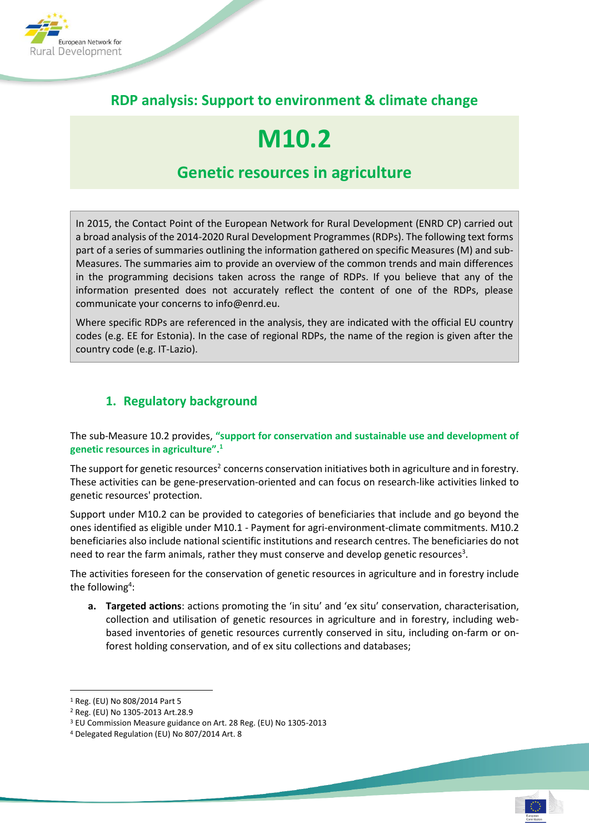

# **RDP analysis: Support to environment & climate change**

# **M10.2**

# **Genetic resources in agriculture**

In 2015, the Contact Point of the European Network for Rural Development (ENRD CP) carried out a broad analysis of the 2014-2020 Rural Development Programmes (RDPs). The following text forms part of a series of summaries outlining the information gathered on specific Measures (M) and sub-Measures. The summaries aim to provide an overview of the common trends and main differences in the programming decisions taken across the range of RDPs. If you believe that any of the information presented does not accurately reflect the content of one of the RDPs, please communicate your concerns to info@enrd.eu.

Where specific RDPs are referenced in the analysis, they are indicated with the official EU country codes (e.g. EE for Estonia). In the case of regional RDPs, the name of the region is given after the country code (e.g. IT-Lazio).

# **1. Regulatory background**

The sub-Measure 10.2 provides, **"support for conservation and sustainable use and development of genetic resources in agriculture".<sup>1</sup>**

The support for genetic resources<sup>2</sup> concerns conservation initiatives both in agriculture and in forestry. These activities can be gene-preservation-oriented and can focus on research-like activities linked to genetic resources' protection.

Support under M10.2 can be provided to categories of beneficiaries that include and go beyond the ones identified as eligible under M10.1 - Payment for agri-environment-climate commitments. M10.2 beneficiaries also include national scientific institutions and research centres. The beneficiaries do not need to rear the farm animals, rather they must conserve and develop genetic resources<sup>3</sup>.

The activities foreseen for the conservation of genetic resources in agriculture and in forestry include the following<sup>4</sup>:

**a. Targeted actions**: actions promoting the 'in situ' and 'ex situ' conservation, characterisation, collection and utilisation of genetic resources in agriculture and in forestry, including webbased inventories of genetic resources currently conserved in situ, including on-farm or onforest holding conservation, and of ex situ collections and databases;

<sup>1</sup> Reg. (EU) No 808/2014 Part 5

<sup>2</sup> Reg. (EU) No 1305-2013 Art.28.9

<sup>3</sup> EU Commission Measure guidance on Art. 28 Reg. (EU) No 1305-2013

<sup>4</sup> Delegated Regulation (EU) No 807/2014 Art. 8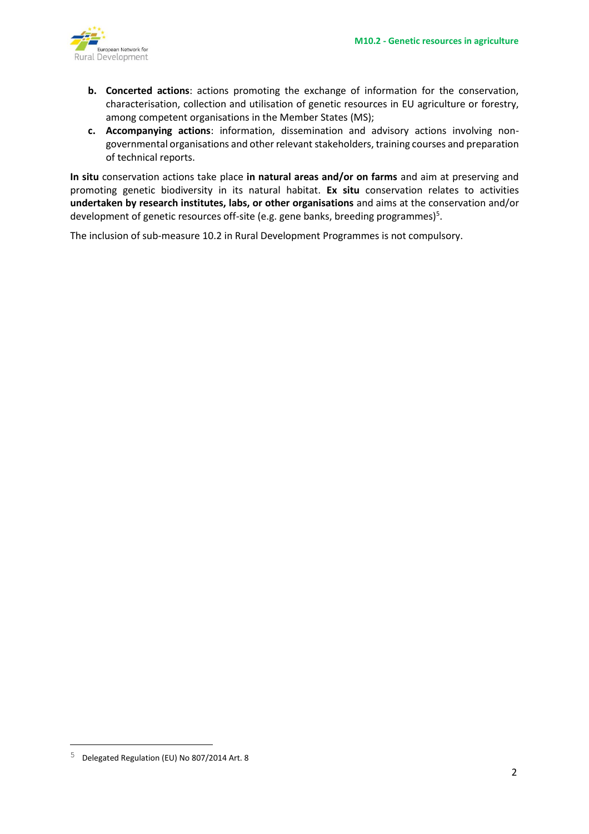

- **b. Concerted actions**: actions promoting the exchange of information for the conservation, characterisation, collection and utilisation of genetic resources in EU agriculture or forestry, among competent organisations in the Member States (MS);
- **c. Accompanying actions**: information, dissemination and advisory actions involving nongovernmental organisations and other relevant stakeholders, training courses and preparation of technical reports.

**In situ** conservation actions take place **in natural areas and/or on farms** and aim at preserving and promoting genetic biodiversity in its natural habitat. **Ex situ** conservation relates to activities **undertaken by research institutes, labs, or other organisations** and aims at the conservation and/or development of genetic resources off-site (e.g. gene banks, breeding programmes)<sup>5</sup>.

The inclusion of sub-measure 10.2 in Rural Development Programmes is not compulsory.

i<br>L

<sup>5</sup> Delegated Regulation (EU) No 807/2014 Art. 8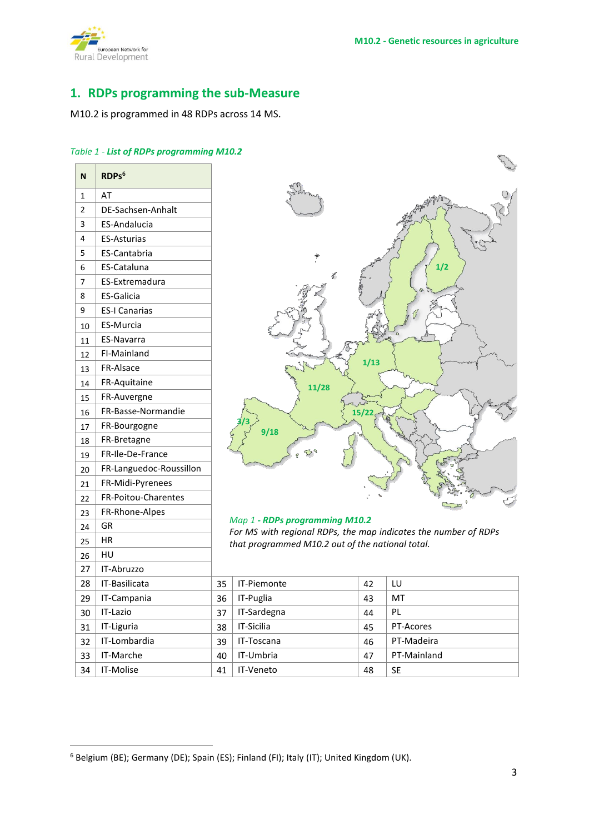

# **1. RDPs programming the sub-Measure**

M10.2 is programmed in 48 RDPs across 14 MS.

### *Table 1 - List of RDPs programming M10.2*

| N  | RDPs <sup>6</sup>       |  |
|----|-------------------------|--|
| 1  | AT                      |  |
| 2  | DE-Sachsen-Anhalt       |  |
| 3  | <b>ES-Andalucia</b>     |  |
| 4  | <b>ES-Asturias</b>      |  |
| 5  | <b>ES-Cantabria</b>     |  |
| 6  | ES-Cataluna             |  |
| 7  | ES-Extremadura          |  |
| 8  | <b>ES-Galicia</b>       |  |
| 9  | <b>ES-I Canarias</b>    |  |
| 10 | <b>ES-Murcia</b>        |  |
| 11 | <b>ES-Navarra</b>       |  |
| 12 | FI-Mainland             |  |
| 13 | FR-Alsace               |  |
| 14 | FR-Aquitaine            |  |
| 15 | FR-Auvergne             |  |
| 16 | FR-Basse-Normandie      |  |
| 17 | FR-Bourgogne            |  |
| 18 | FR-Bretagne             |  |
| 19 | FR-Ile-De-France        |  |
| 20 | FR-Languedoc-Roussillon |  |
| 21 | FR-Midi-Pyrenees        |  |
| 22 | FR-Poitou-Charentes     |  |
| 23 | FR-Rhone-Alpes          |  |
| 24 | GR                      |  |
| 25 | ΗR                      |  |
| 26 | HU                      |  |
| 27 | IT-Abruzzo              |  |
| 28 | IT-Basilicata           |  |
| 29 | IT-Campania             |  |
| 30 | IT-Lazio                |  |
| 31 | IT-Liguria              |  |
| 32 | IT-Lombardia            |  |
| 33 | IT-Marche               |  |
| 34 | IT-Molise               |  |



#### *Map 1 - RDPs programming M10.2*

*For MS with regional RDPs, the map indicates the number of RDPs that programmed M10.2 out of the national total.*

| 28. | IT-Basilicata | 35 | IT-Piemonte       | 42 | LU          |
|-----|---------------|----|-------------------|----|-------------|
| 29  | IT-Campania   | 36 | IT-Puglia         | 43 | MT          |
| 30  | IT-Lazio      | 37 | IT-Sardegna       | 44 | PL          |
| 31  | IT-Liguria    | 38 | <b>IT-Sicilia</b> | 45 | PT-Acores   |
| 32  | IT-Lombardia  | 39 | IT-Toscana        | 46 | PT-Madeira  |
| 33  | IT-Marche     | 40 | IT-Umbria         | 47 | PT-Mainland |
| 34  | IT-Molise     | 41 | <b>IT-Veneto</b>  | 48 | <b>SE</b>   |

Belgium (BE); Germany (DE); Spain (ES); Finland (FI); Italy (IT); United Kingdom (UK).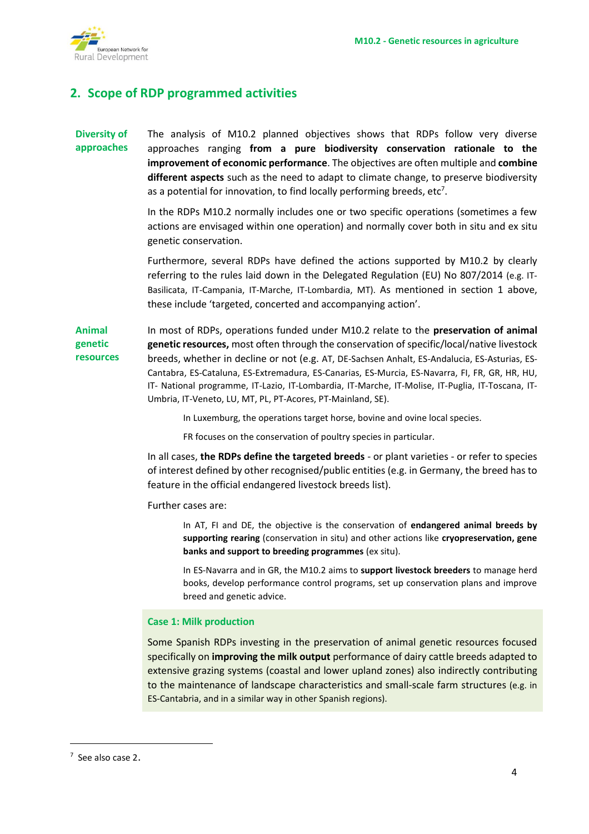

# **2. Scope of RDP programmed activities**

#### **Diversity of approaches** The analysis of M10.2 planned objectives shows that RDPs follow very diverse approaches ranging **from a pure biodiversity conservation rationale to the improvement of economic performance**. The objectives are often multiple and **combine different aspects** such as the need to adapt to climate change, to preserve biodiversity as a potential for innovation, to find locally performing breeds,  $etc<sup>7</sup>$ .

In the RDPs M10.2 normally includes one or two specific operations (sometimes a few actions are envisaged within one operation) and normally cover both in situ and ex situ genetic conservation.

Furthermore, several RDPs have defined the actions supported by M10.2 by clearly referring to the rules laid down in the Delegated Regulation (EU) No 807/2014 (e.g. IT-Basilicata, IT-Campania, IT-Marche, IT-Lombardia, MT). As mentioned in section 1 above, these include 'targeted, concerted and accompanying action'.

**Animal genetic resources** In most of RDPs, operations funded under M10.2 relate to the **preservation of animal genetic resources,** most often through the conservation of specific/local/native livestock breeds, whether in decline or not (e.g. AT, DE-Sachsen Anhalt, ES-Andalucia, ES-Asturias, ES-Cantabra, ES-Cataluna, ES-Extremadura, ES-Canarias, ES-Murcia, ES-Navarra, FI, FR, GR, HR, HU, IT- National programme, IT-Lazio, IT-Lombardia, IT-Marche, IT-Molise, IT-Puglia, IT-Toscana, IT-Umbria, IT-Veneto, LU, MT, PL, PT-Acores, PT-Mainland, SE).

In Luxemburg, the operations target horse, bovine and ovine local species.

FR focuses on the conservation of poultry species in particular.

In all cases, **the RDPs define the targeted breeds** - or plant varieties - or refer to species of interest defined by other recognised/public entities (e.g. in Germany, the breed has to feature in the official endangered livestock breeds list).

Further cases are:

In AT, FI and DE, the objective is the conservation of **endangered animal breeds by supporting rearing** (conservation in situ) and other actions like **cryopreservation, gene banks and support to breeding programmes** (ex situ).

In ES-Navarra and in GR, the M10.2 aims to **support livestock breeders** to manage herd books, develop performance control programs, set up conservation plans and improve breed and genetic advice.

### **Case 1: Milk production**

Some Spanish RDPs investing in the preservation of animal genetic resources focused specifically on **improving the milk output** performance of dairy cattle breeds adapted to extensive grazing systems (coastal and lower upland zones) also indirectly contributing to the maintenance of landscape characteristics and small-scale farm structures (e.g. in ES-Cantabria, and in a similar way in other Spanish regions).

 $<sup>7</sup>$  See also case 2.</sup>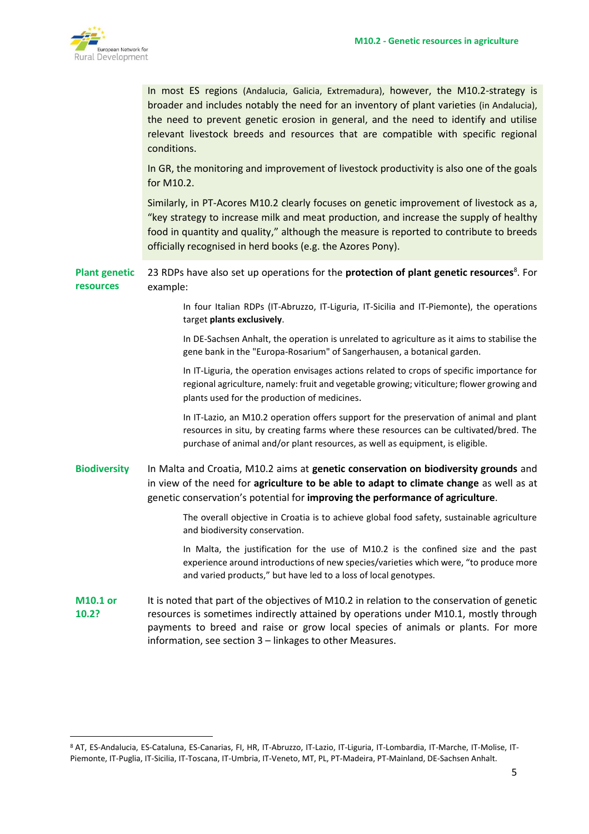

|                                   | In most ES regions (Andalucia, Galicia, Extremadura), however, the M10.2-strategy is<br>broader and includes notably the need for an inventory of plant varieties (in Andalucia),<br>the need to prevent genetic erosion in general, and the need to identify and utilise<br>relevant livestock breeds and resources that are compatible with specific regional<br>conditions. |
|-----------------------------------|--------------------------------------------------------------------------------------------------------------------------------------------------------------------------------------------------------------------------------------------------------------------------------------------------------------------------------------------------------------------------------|
|                                   | In GR, the monitoring and improvement of livestock productivity is also one of the goals<br>for M10.2.                                                                                                                                                                                                                                                                         |
|                                   | Similarly, in PT-Acores M10.2 clearly focuses on genetic improvement of livestock as a,<br>"key strategy to increase milk and meat production, and increase the supply of healthy<br>food in quantity and quality," although the measure is reported to contribute to breeds<br>officially recognised in herd books (e.g. the Azores Pony).                                    |
| <b>Plant genetic</b><br>resources | 23 RDPs have also set up operations for the <b>protection of plant genetic resources</b> <sup>8</sup> . For<br>example:                                                                                                                                                                                                                                                        |
|                                   | In four Italian RDPs (IT-Abruzzo, IT-Liguria, IT-Sicilia and IT-Piemonte), the operations<br>target plants exclusively.                                                                                                                                                                                                                                                        |
|                                   | In DE-Sachsen Anhalt, the operation is unrelated to agriculture as it aims to stabilise the<br>gene bank in the "Europa-Rosarium" of Sangerhausen, a botanical garden.                                                                                                                                                                                                         |
|                                   | In IT-Liguria, the operation envisages actions related to crops of specific importance for<br>regional agriculture, namely: fruit and vegetable growing; viticulture; flower growing and<br>plants used for the production of medicines.                                                                                                                                       |
|                                   | In IT-Lazio, an M10.2 operation offers support for the preservation of animal and plant<br>resources in situ, by creating farms where these resources can be cultivated/bred. The<br>purchase of animal and/or plant resources, as well as equipment, is eligible.                                                                                                             |
| <b>Biodiversity</b>               | In Malta and Croatia, M10.2 aims at genetic conservation on biodiversity grounds and<br>in view of the need for agriculture to be able to adapt to climate change as well as at<br>genetic conservation's potential for improving the performance of agriculture.                                                                                                              |
|                                   | The overall objective in Croatia is to achieve global food safety, sustainable agriculture<br>and biodiversity conservation.                                                                                                                                                                                                                                                   |
|                                   | In Malta, the justification for the use of M10.2 is the confined size and the past<br>experience around introductions of new species/varieties which were, "to produce more<br>and varied products," but have led to a loss of local genotypes.                                                                                                                                |
| <b>M10.1 or</b><br>10.2?          | It is noted that part of the objectives of M10.2 in relation to the conservation of genetic<br>resources is sometimes indirectly attained by operations under M10.1, mostly through<br>payments to breed and raise or grow local species of animals or plants. For more<br>information, see section 3 - linkages to other Measures.                                            |

<sup>8</sup> AT, ES-Andalucia, ES-Cataluna, ES-Canarias, FI, HR, IT-Abruzzo, IT-Lazio, IT-Liguria, IT-Lombardia, IT-Marche, IT-Molise, IT-Piemonte, IT-Puglia, IT-Sicilia, IT-Toscana, IT-Umbria, IT-Veneto, MT, PL, PT-Madeira, PT-Mainland, DE-Sachsen Anhalt.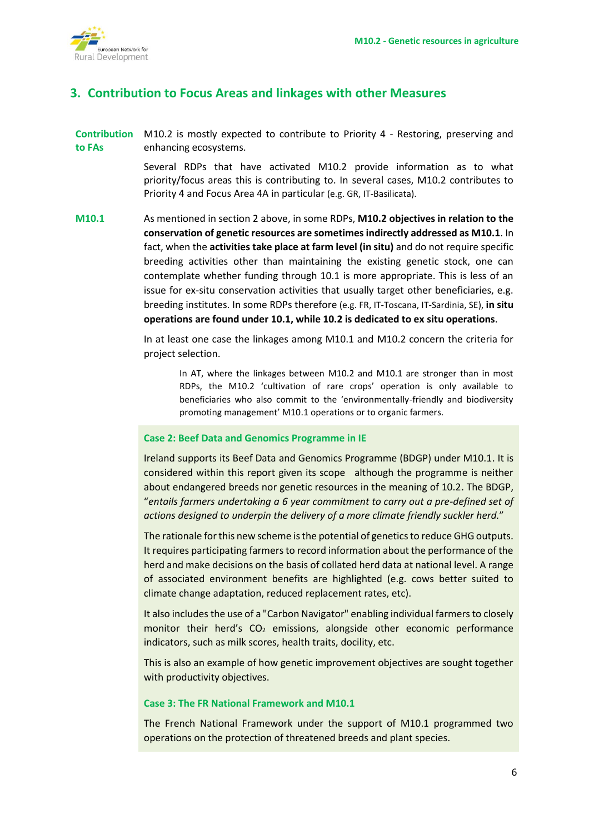

# **3. Contribution to Focus Areas and linkages with other Measures**

**Contribution**  M10.2 is mostly expected to contribute to Priority 4 - Restoring, preserving and **to FAs** enhancing ecosystems.

> Several RDPs that have activated M10.2 provide information as to what priority/focus areas this is contributing to. In several cases, M10.2 contributes to Priority 4 and Focus Area 4A in particular (e.g. GR, IT-Basilicata).

**M10.1** As mentioned in section 2 above, in some RDPs, **M10.2 objectives in relation to the conservation of genetic resources are sometimes indirectly addressed as M10.1**. In fact, when the **activities take place at farm level (in situ)** and do not require specific breeding activities other than maintaining the existing genetic stock, one can contemplate whether funding through 10.1 is more appropriate. This is less of an issue for ex-situ conservation activities that usually target other beneficiaries, e.g. breeding institutes. In some RDPs therefore (e.g. FR, IT-Toscana, IT-Sardinia, SE), **in situ operations are found under 10.1, while 10.2 is dedicated to ex situ operations**.

> In at least one case the linkages among M10.1 and M10.2 concern the criteria for project selection.

In AT, where the linkages between M10.2 and M10.1 are stronger than in most RDPs, the M10.2 'cultivation of rare crops' operation is only available to beneficiaries who also commit to the 'environmentally-friendly and biodiversity promoting management' M10.1 operations or to organic farmers.

#### **Case 2: Beef Data and Genomics Programme in IE**

Ireland supports its Beef Data and Genomics Programme (BDGP) under M10.1. It is considered within this report given its scope although the programme is neither about endangered breeds nor genetic resources in the meaning of 10.2. The BDGP, "*entails farmers undertaking a 6 year commitment to carry out a pre-defined set of actions designed to underpin the delivery of a more climate friendly suckler herd.*"

The rationale for this new scheme is the potential of genetics to reduce GHG outputs. It requires participating farmers to record information about the performance of the herd and make decisions on the basis of collated herd data at national level. A range of associated environment benefits are highlighted (e.g. cows better suited to climate change adaptation, reduced replacement rates, etc).

It also includes the use of a "Carbon Navigator" enabling individual farmers to closely monitor their herd's  $CO<sub>2</sub>$  emissions, alongside other economic performance indicators, such as milk scores, health traits, docility, etc.

This is also an example of how genetic improvement objectives are sought together with productivity objectives.

#### **Case 3: The FR National Framework and M10.1**

The French National Framework under the support of M10.1 programmed two operations on the protection of threatened breeds and plant species.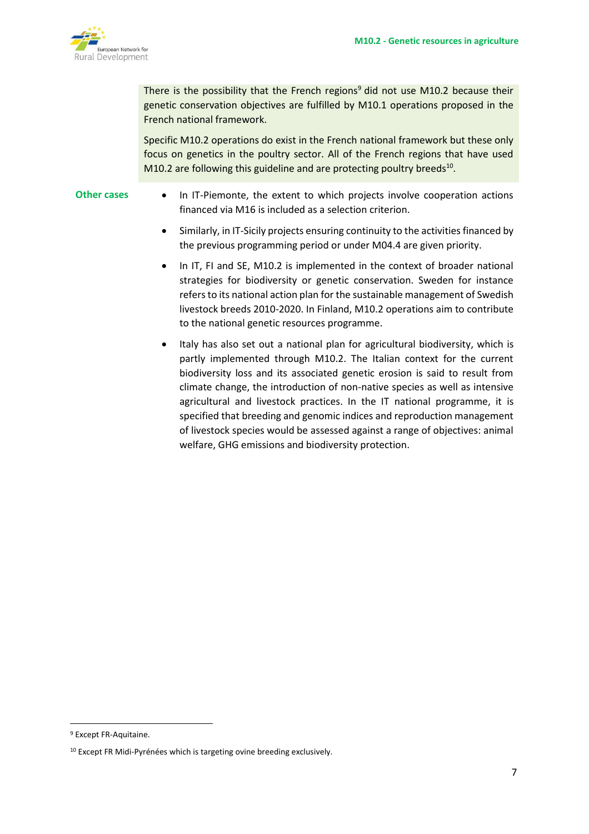

There is the possibility that the French regions<sup>9</sup> did not use M10.2 because their genetic conservation objectives are fulfilled by M10.1 operations proposed in the French national framework.

Specific M10.2 operations do exist in the French national framework but these only focus on genetics in the poultry sector. All of the French regions that have used M10.2 are following this guideline and are protecting poultry breeds $^{10}$ .

- **Other cases** In IT-Piemonte, the extent to which projects involve cooperation actions financed via M16 is included as a selection criterion.
	- Similarly, in IT-Sicily projects ensuring continuity to the activities financed by the previous programming period or under M04.4 are given priority.
	- In IT, FI and SE, M10.2 is implemented in the context of broader national strategies for biodiversity or genetic conservation. Sweden for instance refers to its national action plan for the sustainable management of Swedish livestock breeds 2010-2020. In Finland, M10.2 operations aim to contribute to the national genetic resources programme.
	- Italy has also set out a national plan for agricultural biodiversity, which is partly implemented through M10.2. The Italian context for the current biodiversity loss and its associated genetic erosion is said to result from climate change, the introduction of non-native species as well as intensive agricultural and livestock practices. In the IT national programme, it is specified that breeding and genomic indices and reproduction management of livestock species would be assessed against a range of objectives: animal welfare, GHG emissions and biodiversity protection.

<sup>9</sup> Except FR-Aquitaine.

<sup>&</sup>lt;sup>10</sup> Except FR Midi-Pyrénées which is targeting ovine breeding exclusively.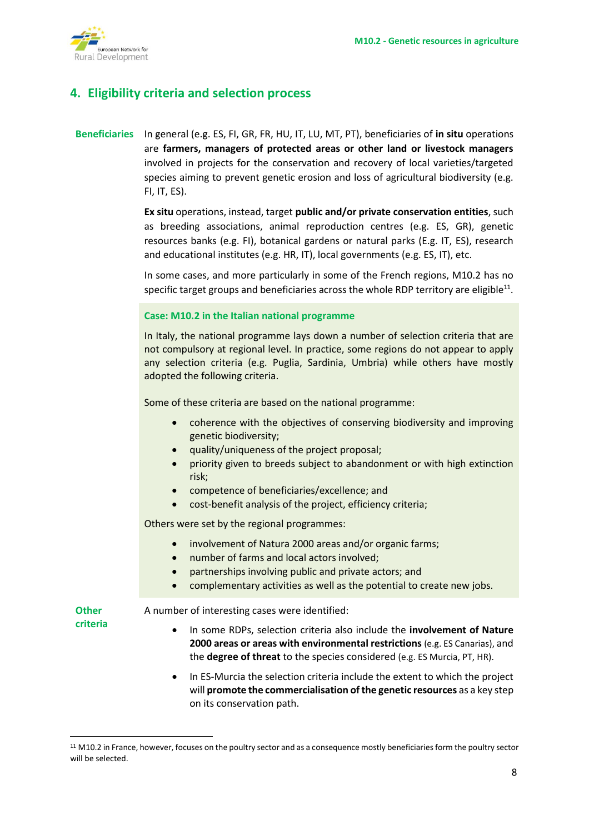

# **4. Eligibility criteria and selection process**

## **Beneficiaries** In general (e.g. ES, FI, GR, FR, HU, IT, LU, MT, PT), beneficiaries of **in situ** operations are **farmers, managers of protected areas or other land or livestock managers** involved in projects for the conservation and recovery of local varieties/targeted species aiming to prevent genetic erosion and loss of agricultural biodiversity (e.g. FI, IT, ES).

**Ex situ** operations, instead, target **public and/or private conservation entities**, such as breeding associations, animal reproduction centres (e.g. ES, GR), genetic resources banks (e.g. FI), botanical gardens or natural parks (E.g. IT, ES), research and educational institutes (e.g. HR, IT), local governments (e.g. ES, IT), etc.

In some cases, and more particularly in some of the French regions, M10.2 has no specific target groups and beneficiaries across the whole RDP territory are eligible $^{\rm 11}.$ 

#### **Case: M10.2 in the Italian national programme**

In Italy, the national programme lays down a number of selection criteria that are not compulsory at regional level. In practice, some regions do not appear to apply any selection criteria (e.g. Puglia, Sardinia, Umbria) while others have mostly adopted the following criteria.

Some of these criteria are based on the national programme:

- coherence with the objectives of conserving biodiversity and improving genetic biodiversity;
- quality/uniqueness of the project proposal;
- priority given to breeds subject to abandonment or with high extinction risk;
- competence of beneficiaries/excellence; and
- cost-benefit analysis of the project, efficiency criteria;

Others were set by the regional programmes:

- involvement of Natura 2000 areas and/or organic farms;
- number of farms and local actors involved;
- partnerships involving public and private actors; and
- complementary activities as well as the potential to create new jobs.

**Other criteria**

A number of interesting cases were identified:

- In some RDPs, selection criteria also include the **involvement of Nature 2000 areas or areas with environmental restrictions** (e.g. ES Canarias), and the **degree of threat** to the species considered (e.g. ES Murcia, PT, HR).
- In ES-Murcia the selection criteria include the extent to which the project will **promote the commercialisation of the genetic resources** as a key step on its conservation path.

<sup>11</sup> M10.2 in France, however, focuses on the poultry sector and as a consequence mostly beneficiaries form the poultry sector will be selected.